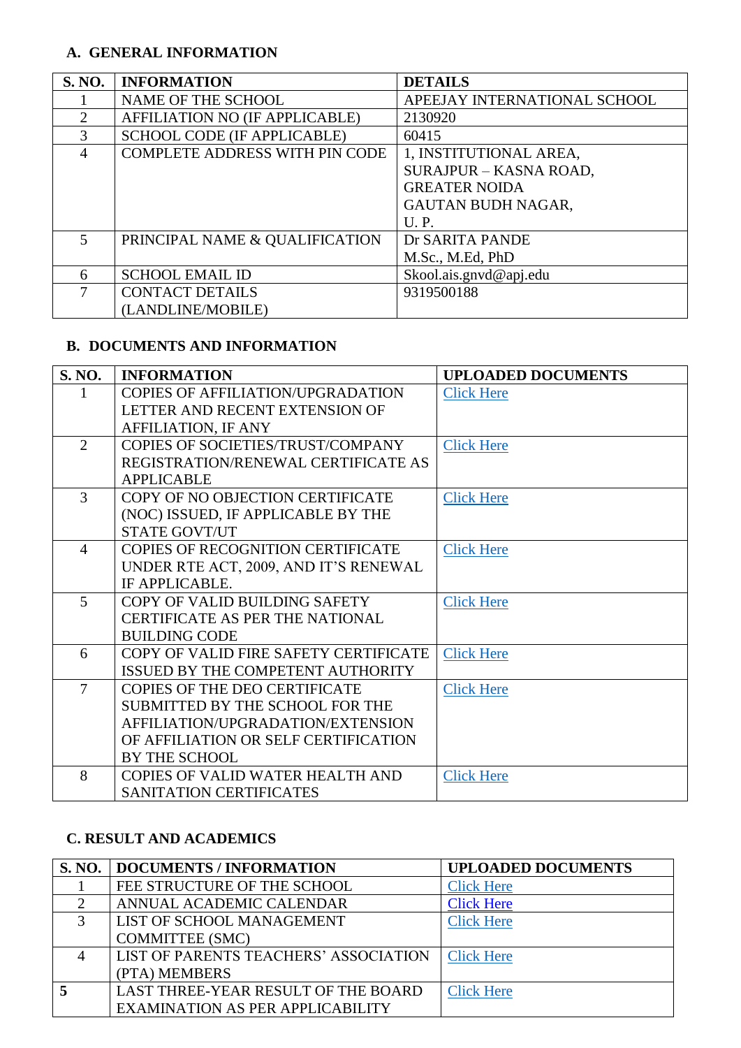### **A. GENERAL INFORMATION**

| <b>S. NO.</b>               | <b>INFORMATION</b>                    | <b>DETAILS</b>               |
|-----------------------------|---------------------------------------|------------------------------|
|                             | NAME OF THE SCHOOL                    | APEEJAY INTERNATIONAL SCHOOL |
| $\mathcal{D}_{\mathcal{L}}$ | AFFILIATION NO (IF APPLICABLE)        | 2130920                      |
| 3                           | <b>SCHOOL CODE (IF APPLICABLE)</b>    | 60415                        |
| 4                           | <b>COMPLETE ADDRESS WITH PIN CODE</b> | 1, INSTITUTIONAL AREA,       |
|                             |                                       | SURAJPUR - KASNA ROAD,       |
|                             |                                       | <b>GREATER NOIDA</b>         |
|                             |                                       | <b>GAUTAN BUDH NAGAR,</b>    |
|                             |                                       | U.P.                         |
| $\mathcal{F}$               | PRINCIPAL NAME & QUALIFICATION        | Dr SARITA PANDE              |
|                             |                                       | M.Sc., M.Ed, PhD             |
| 6                           | <b>SCHOOL EMAIL ID</b>                | Skool.ais.gnvd@apj.edu       |
| 7                           | <b>CONTACT DETAILS</b>                | 9319500188                   |
|                             | (LANDLINE/MOBILE)                     |                              |

### **B. DOCUMENTS AND INFORMATION**

| <b>S. NO.</b>  | <b>INFORMATION</b>                       | <b>UPLOADED DOCUMENTS</b> |
|----------------|------------------------------------------|---------------------------|
|                | <b>COPIES OF AFFILIATION/UPGRADATION</b> | <b>Click Here</b>         |
|                | LETTER AND RECENT EXTENSION OF           |                           |
|                | <b>AFFILIATION, IF ANY</b>               |                           |
| 2              | COPIES OF SOCIETIES/TRUST/COMPANY        | <b>Click Here</b>         |
|                | REGISTRATION/RENEWAL CERTIFICATE AS      |                           |
|                | <b>APPLICABLE</b>                        |                           |
| $\overline{3}$ | COPY OF NO OBJECTION CERTIFICATE         | <b>Click Here</b>         |
|                | (NOC) ISSUED, IF APPLICABLE BY THE       |                           |
|                | <b>STATE GOVT/UT</b>                     |                           |
| $\overline{4}$ | COPIES OF RECOGNITION CERTIFICATE        | <b>Click Here</b>         |
|                | UNDER RTE ACT, 2009, AND IT'S RENEWAL    |                           |
|                | IF APPLICABLE.                           |                           |
| 5              | COPY OF VALID BUILDING SAFETY            | <b>Click Here</b>         |
|                | <b>CERTIFICATE AS PER THE NATIONAL</b>   |                           |
|                | <b>BUILDING CODE</b>                     |                           |
| 6              | COPY OF VALID FIRE SAFETY CERTIFICATE    | <b>Click Here</b>         |
|                | ISSUED BY THE COMPETENT AUTHORITY        |                           |
| $\tau$         | COPIES OF THE DEO CERTIFICATE            | <b>Click Here</b>         |
|                | SUBMITTED BY THE SCHOOL FOR THE          |                           |
|                | AFFILIATION/UPGRADATION/EXTENSION        |                           |
|                | OF AFFILIATION OR SELF CERTIFICATION     |                           |
|                | <b>BY THE SCHOOL</b>                     |                           |
| 8              | <b>COPIES OF VALID WATER HEALTH AND</b>  | <b>Click Here</b>         |
|                | <b>SANITATION CERTIFICATES</b>           |                           |

## **C. RESULT AND ACADEMICS**

|               | <b>S. NO.   DOCUMENTS / INFORMATION</b> | <b>UPLOADED DOCUMENTS</b> |
|---------------|-----------------------------------------|---------------------------|
|               | FEE STRUCTURE OF THE SCHOOL             | <b>Click Here</b>         |
| $\mathcal{D}$ | ANNUAL ACADEMIC CALENDAR                | <b>Click Here</b>         |
| 3             | LIST OF SCHOOL MANAGEMENT               | <b>Click Here</b>         |
|               | <b>COMMITTEE (SMC)</b>                  |                           |
|               | LIST OF PARENTS TEACHERS' ASSOCIATION   | <b>Click Here</b>         |
|               | (PTA) MEMBERS                           |                           |
|               | LAST THREE-YEAR RESULT OF THE BOARD     | <b>Click Here</b>         |
|               | <b>EXAMINATION AS PER APPLICABILITY</b> |                           |